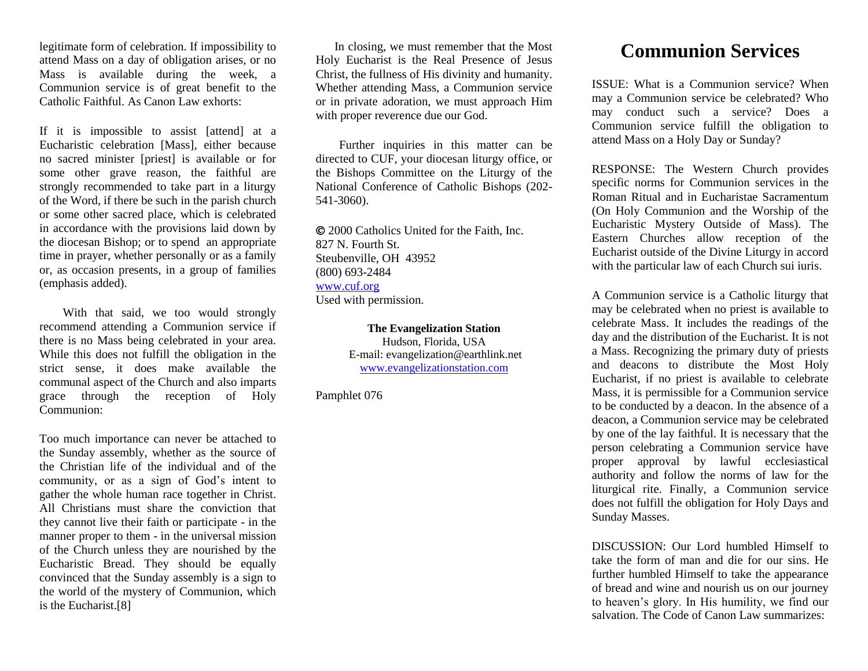legitimate form of celebration. If impossibility to attend Mass on a day of obligation arises, or no Mass is available during the week, a Communion service is of great benefit to the Catholic Faithful. As Canon Law exhorts:

If it is impossible to assist [attend] at a Eucharistic celebration [Mass], either because no sacred minister [priest] is available or for some other grave reason, the faithful are strongly recommended to take part in a liturgy of the Word, if there be such in the parish church or some other sacred place, which is celebrated in accordance with the provisions laid down by the diocesan Bishop; or to spend an appropriate time in prayer, whether personally or as a family or, as occasion presents, in a group of families (emphasis added).

 With that said, we too would strongly recommend attending a Communion service if there is no Mass being celebrated in your area. While this does not fulfill the obligation in the strict sense, it does make available the communal aspect of the Church and also imparts grace through the reception of Holy Communion:

Too much importance can never be attached to the Sunday assembly, whether as the source of the Christian life of the individual and of the community, or as a sign of God's intent to gather the whole human race together in Christ. All Christians must share the conviction that they cannot live their faith or participate - in the manner proper to them - in the universal mission of the Church unless they are nourished by the Eucharistic Bread. They should be equally convinced that the Sunday assembly is a sign to the world of the mystery of Communion, which is the Eucharist.[8]

 In closing, we must remember that the Most Holy Eucharist is the Real Presence of Jesus Christ, the fullness of His divinity and humanity. Whether attending Mass, a Communion service or in private adoration, we must approach Him with proper reverence due our God.

 Further inquiries in this matter can be directed to CUF, your diocesan liturgy office, or the Bishops Committee on the Liturgy of the National Conference of Catholic Bishops (202- 541-3060).

 2000 Catholics United for the Faith, Inc. 827 N. Fourth St. Steubenville, OH 43952 (800) 693-2484 [www.cuf.org](http://www.cuf.org/) Used with permission.

> **The Evangelization Station** Hudson, Florida, USA E-mail: evangelization@earthlink.net [www.evangelizationstation.com](http://www.pjpiisoe.org/)

Pamphlet 076

## **Communion Services**

ISSUE: What is a Communion service? When may a Communion service be celebrated? Who may conduct such a service? Does a Communion service fulfill the obligation to attend Mass on a Holy Day or Sunday?

RESPONSE: The Western Church provides specific norms for Communion services in the Roman Ritual and in Eucharistae Sacramentum (On Holy Communion and the Worship of the Eucharistic Mystery Outside of Mass). The Eastern Churches allow reception of the Eucharist outside of the Divine Liturgy in accord with the particular law of each Church sui iuris.

A Communion service is a Catholic liturgy that may be celebrated when no priest is available to celebrate Mass. It includes the readings of the day and the distribution of the Eucharist. It is not a Mass. Recognizing the primary duty of priests and deacons to distribute the Most Holy Eucharist, if no priest is available to celebrate Mass, it is permissible for a Communion service to be conducted by a deacon. In the absence of a deacon, a Communion service may be celebrated by one of the lay faithful. It is necessary that the person celebrating a Communion service have proper approval by lawful ecclesiastical authority and follow the norms of law for the liturgical rite. Finally, a Communion service does not fulfill the obligation for Holy Days and Sunday Masses.

DISCUSSION: Our Lord humbled Himself to take the form of man and die for our sins. He further humbled Himself to take the appearance of bread and wine and nourish us on our journey to heaven's glory. In His humility, we find our salvation. The Code of Canon Law summarizes: